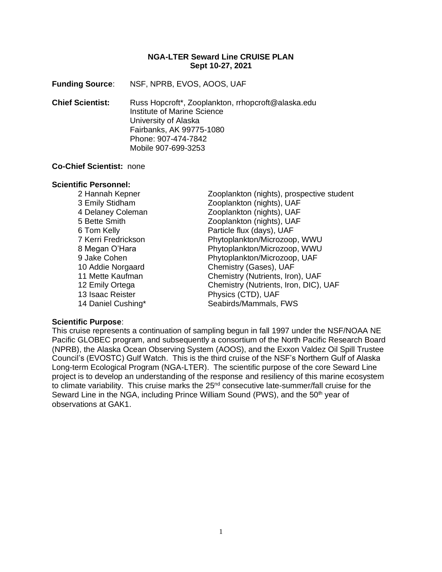### **NGA-LTER Seward Line CRUISE PLAN Sept 10-27, 2021**

**Funding Source**: NSF, NPRB, EVOS, AOOS, UAF

**Chief Scientist:** Russ Hopcroft\*, Zooplankton, rrhopcroft@alaska.edu Institute of Marine Science University of Alaska Fairbanks, AK 99775-1080 Phone: 907-474-7842 Mobile 907-699-3253

#### **Co-Chief Scientist:** none

#### **Scientific Personnel:**

2 Hannah Kepner Zooplankton (nights), prospective student 3 Emily Stidham Zooplankton (nights), UAF 4 Delaney Coleman Zooplankton (nights), UAF 5 Bette Smith Zooplankton (nights), UAF 6 Tom Kelly **Particle flux (days)**, UAF 7 Kerri Fredrickson Phytoplankton/Microzoop, WWU 8 Megan O'Hara Phytoplankton/Microzoop, WWU 9 Jake Cohen **Phytoplankton/Microzoop, UAF** 10 Addie Norgaard Chemistry (Gases), UAF 11 Mette Kaufman Chemistry (Nutrients, Iron), UAF 12 Emily Ortega Chemistry (Nutrients, Iron, DIC), UAF 13 Isaac Reister **Physics (CTD)**, UAF 14 Daniel Cushing\* Seabirds/Mammals, FWS

#### **Scientific Purpose**:

This cruise represents a continuation of sampling begun in fall 1997 under the NSF/NOAA NE Pacific GLOBEC program, and subsequently a consortium of the North Pacific Research Board (NPRB), the Alaska Ocean Observing System (AOOS), and the Exxon Valdez Oil Spill Trustee Council's (EVOSTC) Gulf Watch. This is the third cruise of the NSF's Northern Gulf of Alaska Long-term Ecological Program (NGA-LTER). The scientific purpose of the core Seward Line project is to develop an understanding of the response and resiliency of this marine ecosystem to climate variability. This cruise marks the 25<sup>nd</sup> consecutive late-summer/fall cruise for the Seward Line in the NGA, including Prince William Sound (PWS), and the  $50<sup>th</sup>$  year of observations at GAK1.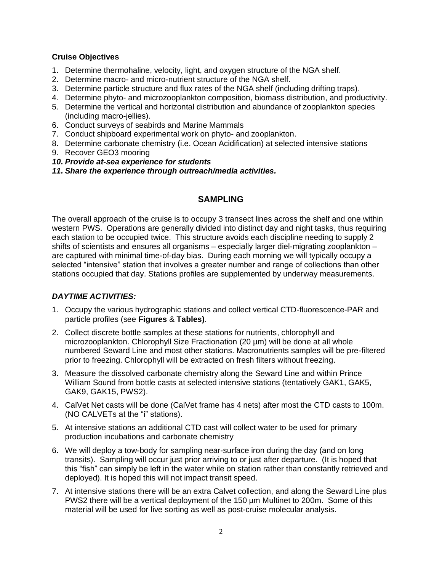### **Cruise Objectives**

- 1. Determine thermohaline, velocity, light, and oxygen structure of the NGA shelf.
- 2. Determine macro- and micro-nutrient structure of the NGA shelf.
- 3. Determine particle structure and flux rates of the NGA shelf (including drifting traps).
- 4. Determine phyto- and microzooplankton composition, biomass distribution, and productivity.
- 5. Determine the vertical and horizontal distribution and abundance of zooplankton species (including macro-jellies).
- 6. Conduct surveys of seabirds and Marine Mammals
- 7. Conduct shipboard experimental work on phyto- and zooplankton.
- 8. Determine carbonate chemistry (i.e. Ocean Acidification) at selected intensive stations
- 9. Recover GEO3 mooring
- *10. Provide at-sea experience for students*
- *11. Share the experience through outreach/media activities.*

# **SAMPLING**

The overall approach of the cruise is to occupy 3 transect lines across the shelf and one within western PWS. Operations are generally divided into distinct day and night tasks, thus requiring each station to be occupied twice. This structure avoids each discipline needing to supply 2 shifts of scientists and ensures all organisms – especially larger diel-migrating zooplankton – are captured with minimal time-of-day bias. During each morning we will typically occupy a selected "intensive" station that involves a greater number and range of collections than other stations occupied that day. Stations profiles are supplemented by underway measurements.

## *DAYTIME ACTIVITIES:*

- 1. Occupy the various hydrographic stations and collect vertical CTD-fluorescence-PAR and particle profiles (see **Figures** & **Tables)**.
- 2. Collect discrete bottle samples at these stations for nutrients, chlorophyll and microzooplankton. Chlorophyll Size Fractionation (20 µm) will be done at all whole numbered Seward Line and most other stations. Macronutrients samples will be pre-filtered prior to freezing. Chlorophyll will be extracted on fresh filters without freezing.
- 3. Measure the dissolved carbonate chemistry along the Seward Line and within Prince William Sound from bottle casts at selected intensive stations (tentatively GAK1, GAK5, GAK9, GAK15, PWS2).
- 4. CalVet Net casts will be done (CalVet frame has 4 nets) after most the CTD casts to 100m. (NO CALVETs at the "i" stations).
- 5. At intensive stations an additional CTD cast will collect water to be used for primary production incubations and carbonate chemistry
- 6. We will deploy a tow-body for sampling near-surface iron during the day (and on long transits). Sampling will occur just prior arriving to or just after departure. (It is hoped that this "fish" can simply be left in the water while on station rather than constantly retrieved and deployed). It is hoped this will not impact transit speed.
- 7. At intensive stations there will be an extra Calvet collection, and along the Seward Line plus PWS2 there will be a vertical deployment of the 150 um Multinet to 200m. Some of this material will be used for live sorting as well as post-cruise molecular analysis.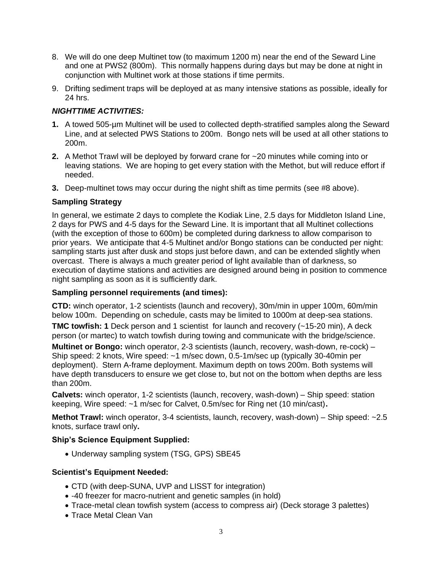- 8. We will do one deep Multinet tow (to maximum 1200 m) near the end of the Seward Line and one at PWS2 (800m). This normally happens during days but may be done at night in conjunction with Multinet work at those stations if time permits.
- 9. Drifting sediment traps will be deployed at as many intensive stations as possible, ideally for 24 hrs.

# *NIGHTTIME ACTIVITIES:*

- **1.** A towed 505-µm Multinet will be used to collected depth-stratified samples along the Seward Line, and at selected PWS Stations to 200m. Bongo nets will be used at all other stations to 200m.
- **2.** A Methot Trawl will be deployed by forward crane for ~20 minutes while coming into or leaving stations. We are hoping to get every station with the Methot, but will reduce effort if needed.
- **3.** Deep-multinet tows may occur during the night shift as time permits (see #8 above).

# **Sampling Strategy**

In general, we estimate 2 days to complete the Kodiak Line, 2.5 days for Middleton Island Line, 2 days for PWS and 4-5 days for the Seward Line. It is important that all Multinet collections (with the exception of those to 600m) be completed during darkness to allow comparison to prior years. We anticipate that 4-5 Multinet and/or Bongo stations can be conducted per night: sampling starts just after dusk and stops just before dawn, and can be extended slightly when overcast. There is always a much greater period of light available than of darkness, so execution of daytime stations and activities are designed around being in position to commence night sampling as soon as it is sufficiently dark.

## **Sampling personnel requirements (and times):**

**CTD:** winch operator, 1-2 scientists (launch and recovery), 30m/min in upper 100m, 60m/min below 100m. Depending on schedule, casts may be limited to 1000m at deep-sea stations.

**TMC towfish: 1** Deck person and 1 scientist for launch and recovery (~15-20 min), A deck person (or martec) to watch towfish during towing and communicate with the bridge/science.

**Multinet or Bongo:** winch operator, 2-3 scientists (launch, recovery, wash-down, re-cock) – Ship speed: 2 knots, Wire speed: ~1 m/sec down, 0.5-1m/sec up (typically 30-40min per deployment). Stern A-frame deployment. Maximum depth on tows 200m. Both systems will have depth transducers to ensure we get close to, but not on the bottom when depths are less than 200m.

**Calvets:** winch operator, 1-2 scientists (launch, recovery, wash-down) – Ship speed: station keeping, Wire speed: ~1 m/sec for Calvet, 0.5m/sec for Ring net (10 min/cast)**.** 

**Methot Trawl:** winch operator, 3-4 scientists, launch, recovery, wash-down) – Ship speed: ~2.5 knots, surface trawl only**.** 

## **Ship's Science Equipment Supplied:**

• Underway sampling system (TSG, GPS) SBE45

## **Scientist's Equipment Needed:**

- CTD (with deep-SUNA, UVP and LISST for integration)
- -40 freezer for macro-nutrient and genetic samples (in hold)
- Trace-metal clean towfish system (access to compress air) (Deck storage 3 palettes)
- Trace Metal Clean Van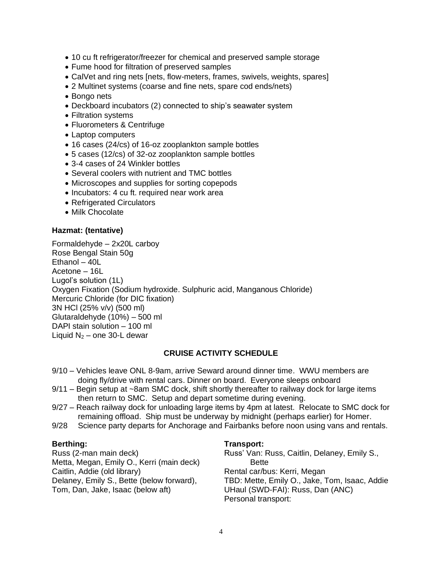- 10 cu ft refrigerator/freezer for chemical and preserved sample storage
- Fume hood for filtration of preserved samples
- CalVet and ring nets [nets, flow-meters, frames, swivels, weights, spares]
- 2 Multinet systems (coarse and fine nets, spare cod ends/nets)
- Bongo nets
- Deckboard incubators (2) connected to ship's seawater system
- Filtration systems
- Fluorometers & Centrifuge
- Laptop computers
- 16 cases (24/cs) of 16-oz zooplankton sample bottles
- 5 cases (12/cs) of 32-oz zooplankton sample bottles
- 3-4 cases of 24 Winkler bottles
- Several coolers with nutrient and TMC bottles
- Microscopes and supplies for sorting copepods
- Incubators: 4 cu ft. required near work area
- Refrigerated Circulators
- Milk Chocolate

### **Hazmat: (tentative)**

Formaldehyde – 2x20L carboy Rose Bengal Stain 50g Ethanol – 40L Acetone – 16L Lugol's solution (1L) Oxygen Fixation (Sodium hydroxide. Sulphuric acid, Manganous Chloride) Mercuric Chloride (for DIC fixation) 3N HCl (25% v/v) (500 ml) Glutaraldehyde (10%) – 500 ml DAPI stain solution – 100 ml Liquid  $N_2$  – one 30-L dewar

# **CRUISE ACTIVITY SCHEDULE**

- 9/10 Vehicles leave ONL 8-9am, arrive Seward around dinner time. WWU members are doing fly/drive with rental cars. Dinner on board. Everyone sleeps onboard
- 9/11 Begin setup at ~8am SMC dock, shift shortly thereafter to railway dock for large items then return to SMC. Setup and depart sometime during evening.
- 9/27 Reach railway dock for unloading large items by 4pm at latest. Relocate to SMC dock for remaining offload. Ship must be underway by midnight (perhaps earlier) for Homer.
- 9/28 Science party departs for Anchorage and Fairbanks before noon using vans and rentals.

## **Berthing:**

Russ (2-man main deck) Metta, Megan, Emily O., Kerri (main deck) Caitlin, Addie (old library) Delaney, Emily S., Bette (below forward), Tom, Dan, Jake, Isaac (below aft)

#### **Transport:**

Russ' Van: Russ, Caitlin, Delaney, Emily S., Bette Rental car/bus: Kerri, Megan TBD: Mette, Emily O., Jake, Tom, Isaac, Addie UHaul (SWD-FAI): Russ, Dan (ANC) Personal transport: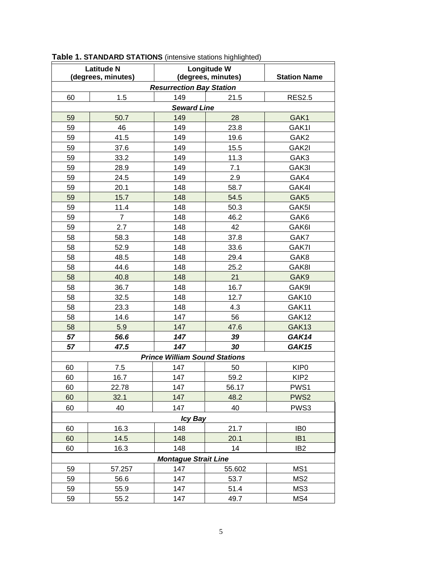| <b>Latitude N</b>                    |                | Longitude W        |        |                     |  |  |  |
|--------------------------------------|----------------|--------------------|--------|---------------------|--|--|--|
| (degrees, minutes)                   |                | (degrees, minutes) |        | <b>Station Name</b> |  |  |  |
| <b>Resurrection Bay Station</b>      |                |                    |        |                     |  |  |  |
| 60                                   | 1.5            | 149                | 21.5   | <b>RES2.5</b>       |  |  |  |
| <b>Seward Line</b>                   |                |                    |        |                     |  |  |  |
| 59                                   | 50.7           | 149                | 28     | GAK1                |  |  |  |
| 59                                   | 46             | 149                | 23.8   | GAK1I               |  |  |  |
| 59                                   | 41.5           | 149                | 19.6   | GAK <sub>2</sub>    |  |  |  |
| 59                                   | 37.6           | 149                | 15.5   | GAK2I               |  |  |  |
| 59                                   | 33.2           | 149                | 11.3   | GAK3                |  |  |  |
| 59                                   | 28.9           | 149                | 7.1    | GAK3I               |  |  |  |
| 59                                   | 24.5           | 149                | 2.9    | GAK4                |  |  |  |
| 59                                   | 20.1           | 148                | 58.7   | GAK4I               |  |  |  |
| 59                                   | 15.7           | 148                | 54.5   | GAK <sub>5</sub>    |  |  |  |
| 59                                   | 11.4           | 148                | 50.3   | GAK5I               |  |  |  |
| 59                                   | $\overline{7}$ | 148                | 46.2   | GAK6                |  |  |  |
| 59                                   | 2.7            | 148                | 42     | GAK6I               |  |  |  |
| 58                                   | 58.3           | 148                | 37.8   | GAK7                |  |  |  |
| 58                                   | 52.9           | 148                | 33.6   | GAK7I               |  |  |  |
| 58                                   | 48.5           | 148                | 29.4   | GAK8                |  |  |  |
| 58                                   | 44.6           | 148                | 25.2   | GAK8I               |  |  |  |
| 58                                   | 40.8           | 148                | 21     | GAK9                |  |  |  |
| 58                                   | 36.7           | 148                | 16.7   | GAK9I               |  |  |  |
| 58                                   | 32.5           | 148                | 12.7   | GAK10               |  |  |  |
| 58                                   | 23.3           | 148                | 4.3    | GAK11               |  |  |  |
| 58                                   | 14.6           | 147                | 56     | GAK12               |  |  |  |
| 58                                   | 5.9            | 147                | 47.6   | GAK13               |  |  |  |
| 57                                   | 56.6           | 147                | 39     | GAK14               |  |  |  |
| 57                                   | 47.5           | 147                | 30     | <b>GAK15</b>        |  |  |  |
| <b>Prince William Sound Stations</b> |                |                    |        |                     |  |  |  |
| 60                                   | 7.5            | 147                | 50     | KIP <sub>0</sub>    |  |  |  |
| 60                                   | 16.7           | 147                | 59.2   | KIP <sub>2</sub>    |  |  |  |
| 60                                   | 22.78          | 147                | 56.17  | PWS1                |  |  |  |
| 60                                   | 32.1           | 147                | 48.2   | PWS <sub>2</sub>    |  |  |  |
| 60                                   | 40             | 147                | 40     | PWS3                |  |  |  |
| <b>Icy Bay</b>                       |                |                    |        |                     |  |  |  |
| 60                                   | 16.3           | 148                | 21.7   | IB <sub>0</sub>     |  |  |  |
| 60                                   | 14.5           | 148                | 20.1   | IB <sub>1</sub>     |  |  |  |
| 60                                   | 16.3           | 148                | 14     | IB <sub>2</sub>     |  |  |  |
| <b>Montague Strait Line</b>          |                |                    |        |                     |  |  |  |
| 59                                   | 57.257         | 147                | 55.602 | MS1                 |  |  |  |
| 59                                   | 56.6           | 147                | 53.7   | MS <sub>2</sub>     |  |  |  |
| 59                                   | 55.9           | 147                | 51.4   | MS3                 |  |  |  |
| 59                                   | 55.2           | 147                | 49.7   | MS4                 |  |  |  |

**Table 1. STANDARD STATIONS** (intensive stations highlighted)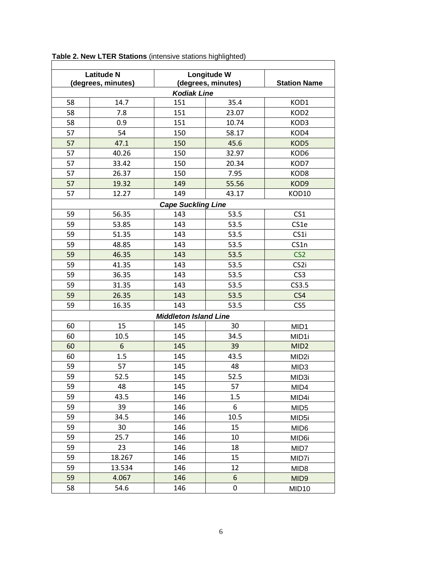| <b>Latitude N</b><br>(degrees, minutes)     |        | Longitude W<br>(degrees, minutes) |       | <b>Station Name</b> |  |  |  |  |
|---------------------------------------------|--------|-----------------------------------|-------|---------------------|--|--|--|--|
| <b>Kodiak Line</b>                          |        |                                   |       |                     |  |  |  |  |
| 58                                          | 14.7   | 151                               | 35.4  | KOD1                |  |  |  |  |
| 58                                          | 7.8    | 151                               | 23.07 | KOD <sub>2</sub>    |  |  |  |  |
| 58                                          | 0.9    | 151                               | 10.74 | KOD3                |  |  |  |  |
| 57                                          | 54     | 150                               | 58.17 | KOD4                |  |  |  |  |
| 57                                          | 47.1   | 150                               | 45.6  | KOD5                |  |  |  |  |
| 57                                          | 40.26  | 150                               | 32.97 | KOD6                |  |  |  |  |
| 57                                          | 33.42  | 150                               | 20.34 | KOD7                |  |  |  |  |
| 57                                          | 26.37  | 150                               | 7.95  | KOD <sub>8</sub>    |  |  |  |  |
| 57                                          | 19.32  | 149                               | 55.56 | KOD9                |  |  |  |  |
| 57                                          | 12.27  | 149                               |       |                     |  |  |  |  |
| 43.17<br>KOD10<br><b>Cape Suckling Line</b> |        |                                   |       |                     |  |  |  |  |
| 59                                          | 56.35  | 143                               | 53.5  | CS <sub>1</sub>     |  |  |  |  |
| 59                                          |        |                                   |       | CS1e                |  |  |  |  |
|                                             | 53.85  | 143                               | 53.5  |                     |  |  |  |  |
| 59                                          | 51.35  | 143                               | 53.5  | CS1i                |  |  |  |  |
| 59                                          | 48.85  | 143                               | 53.5  | CS1n                |  |  |  |  |
| 59                                          | 46.35  | 143                               | 53.5  | CS <sub>2</sub>     |  |  |  |  |
| 59                                          | 41.35  | 143                               | 53.5  | CS <sub>2i</sub>    |  |  |  |  |
| 59                                          | 36.35  | 143                               | 53.5  | CS <sub>3</sub>     |  |  |  |  |
| 59                                          | 31.35  | 143                               | 53.5  | CS3.5               |  |  |  |  |
| 59                                          | 26.35  | 143                               | 53.5  | CS4                 |  |  |  |  |
| 59                                          | 16.35  | 143                               | 53.5  | CS5                 |  |  |  |  |
|                                             |        | <b>Middleton Island Line</b>      |       |                     |  |  |  |  |
| 60                                          | 15     | 145                               | 30    | MID1                |  |  |  |  |
| 60                                          | 10.5   | 145                               | 34.5  | MID1i               |  |  |  |  |
| 60                                          | 6      | 145                               | 39    | MID <sub>2</sub>    |  |  |  |  |
| 60                                          | 1.5    | 145                               | 43.5  | MID <sub>2i</sub>   |  |  |  |  |
| 59                                          | 57     | 145                               | 48    | MID <sub>3</sub>    |  |  |  |  |
| 59                                          | 52.5   | 145                               | 52.5  | MID3i               |  |  |  |  |
| 59                                          | 48     | 145                               | 57    | MID4                |  |  |  |  |
| 59                                          | 43.5   | 146                               | 1.5   | MID4i               |  |  |  |  |
| 59                                          | 39     | 146                               | 6     | MID <sub>5</sub>    |  |  |  |  |
| 59                                          | 34.5   | 146                               | 10.5  | MID <sub>5i</sub>   |  |  |  |  |
| 59                                          | 30     | 146                               | 15    | MID <sub>6</sub>    |  |  |  |  |
| 59                                          | 25.7   | 146                               | 10    | MID <sub>6i</sub>   |  |  |  |  |
| 59                                          | 23     | 146                               | 18    | MID7                |  |  |  |  |
| 59                                          | 18.267 | 146                               | 15    | MID7i               |  |  |  |  |
| 59                                          | 13.534 | 146                               | 12    | MID <sub>8</sub>    |  |  |  |  |
| 59                                          | 4.067  | 146                               | 6     | MID <sub>9</sub>    |  |  |  |  |
| 58                                          | 54.6   | 146                               | 0     | MID <sub>10</sub>   |  |  |  |  |

**Table 2. New LTER Stations** (intensive stations highlighted)